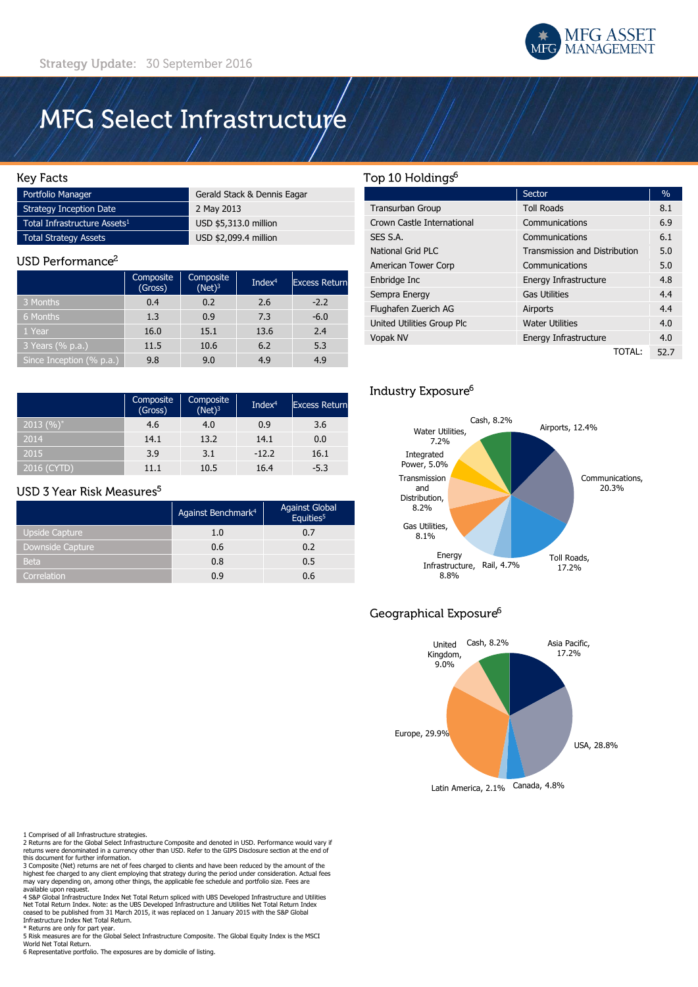

# MFG Select Infrastructure

### **Key Facts**

| Portfolio Manager                        | Gerald Stack & Dennis Eagar |
|------------------------------------------|-----------------------------|
| Strategy Inception Date                  | 2 May 2013                  |
| Total Infrastructure Assets <sup>1</sup> | USD \$5,313.0 million       |
| <b>Total Strategy Assets</b>             | USD \$2,099.4 million       |

#### USD Performance<sup>2</sup>

|                          | Composite<br>(Gross) | Composite<br>$(Net)^3$ | Inde $x^4$ | <b>Excess Return</b> |
|--------------------------|----------------------|------------------------|------------|----------------------|
| 3 Months                 | 0.4                  | 0.2                    | 2.6        | $-2.2$               |
| 6 Months                 | 1.3                  | 0.9                    | 7.3        | $-6.0$               |
| 1 Year                   | 16.0                 | 15.1                   | 13.6       | 2.4                  |
| 3 Years (% p.a.)         | 11.5                 | 10.6                   | 6.2        | 5.3                  |
| Since Inception (% p.a.) | 9.8                  | 9.0                    | 4.9        | 4.9                  |

|               | Composite<br>(Gross) | Composite<br>$(Net)^3$ | Inde $x^4$ | <b>Excess Return</b> |
|---------------|----------------------|------------------------|------------|----------------------|
| $(2013 (%)^*$ | 4.6                  | 4.0                    | 0.9        | 3.6                  |
| 2014          | 14.1                 | 13.2                   | 14.1       | 0.0                  |
| 2015          | 3.9                  | 3.1                    | $-12.2$    | 16.1                 |
| 2016 (CYTD)   | 11 1                 | 10.5                   | 16.4       | $-5.3$               |

### USD 3 Year Risk Measures<sup>5</sup>

|                       | Against Benchmark <sup>4</sup> | <b>Against Global</b><br>Equities <sup>5</sup> |
|-----------------------|--------------------------------|------------------------------------------------|
| <b>Upside Capture</b> | 1.0                            | 0.7                                            |
| Downside Capture      | 0.6                            | 0.2                                            |
| <b>Beta</b>           | 0.8                            | 0.5                                            |
| Correlation           | 0.9                            | 0.6                                            |

### Top 10 Holdings<sup>6</sup>

|                            | Sector                               | $\%$ |
|----------------------------|--------------------------------------|------|
| <b>Transurban Group</b>    | <b>Toll Roads</b>                    | 8.1  |
| Crown Castle International | Communications                       | 6.9  |
| SES S.A.                   | Communications                       | 6.1  |
| National Grid PLC          | <b>Transmission and Distribution</b> | 5.0  |
| American Tower Corp        | Communications                       | 5.0  |
| Enbridge Inc               | Energy Infrastructure                | 4.8  |
| Sempra Energy              | <b>Gas Utilities</b>                 | 4.4  |
| Flughafen Zuerich AG       | Airports                             | 4.4  |
| United Utilities Group Plc | <b>Water Utilities</b>               | 4.0  |
| Vopak NV                   | Energy Infrastructure                | 4.0  |
|                            | TOTAL:                               | 52.7 |

### Industry Exposure<sup>6</sup>



## Geographical Exposure<sup>6</sup>



Latin America, 2.1% Canada, 4.8%

1 Comprised of all Infrastructure strategies.<br>2 Returns are for the Global Select Infrastructure Composite and denoted in USD. Performance would vary if<br>returns were denominated in a currency other than USD. Refer to the G

this document for further information. 3 Composite (Net) returns are net of fees charged to clients and have been reduced by the amount of the highest fee charged to any client employing that strategy during the period under consideration. Actual fees may vary depending on, among other things, the applicable fee schedule and portfolio size. Fees are available upon request.

4 S&P Global Infrastructure Index Net Total Return spliced with UBS Developed Infrastructure and Utilities<br>Net Total Return Index. Note: as the UBS Developed Infrastructure and Utilities Net Total Return Index<br>ceased to be

Infrastructure Index Net Total Return. Returns are only for part year.

5 Risk measures are for the Global Select Infrastructure Composite. The Global Equity Index is the MSCI World Net Total Return.

6 Representative portfolio. The exposures are by domicile of listing.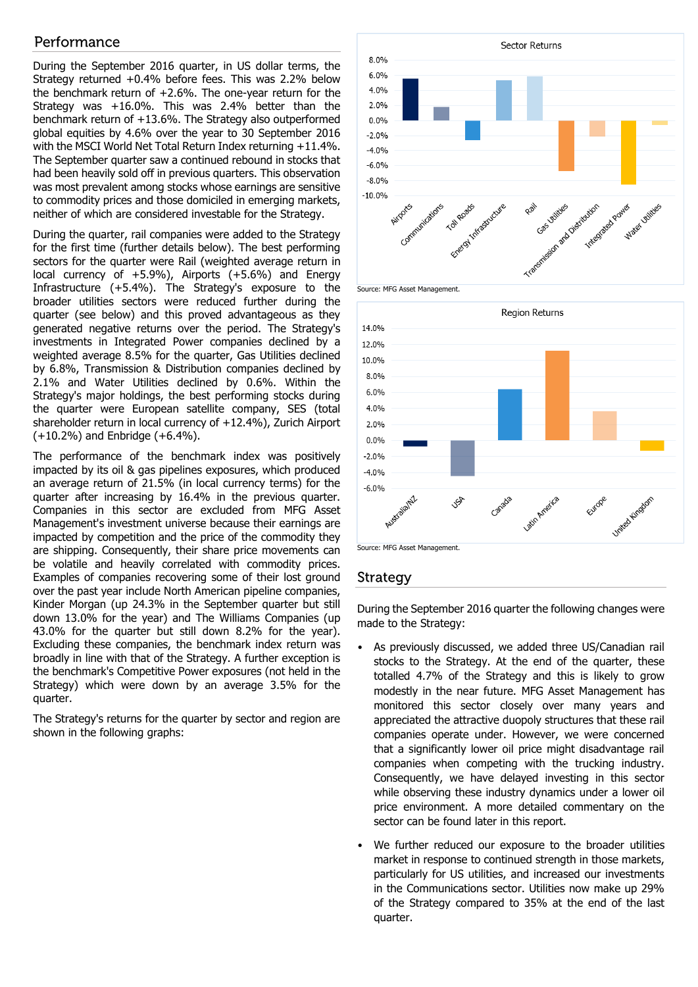### Performance

During the September 2016 quarter, in US dollar terms, the Strategy returned +0.4% before fees. This was 2.2% below the benchmark return of +2.6%. The one-year return for the Strategy was +16.0%. This was 2.4% better than the benchmark return of +13.6%. The Strategy also outperformed global equities by 4.6% over the year to 30 September 2016 with the MSCI World Net Total Return Index returning +11.4%. The September quarter saw a continued rebound in stocks that had been heavily sold off in previous quarters. This observation was most prevalent among stocks whose earnings are sensitive to commodity prices and those domiciled in emerging markets, neither of which are considered investable for the Strategy.

During the quarter, rail companies were added to the Strategy for the first time (further details below). The best performing sectors for the quarter were Rail (weighted average return in local currency of +5.9%), Airports (+5.6%) and Energy Infrastructure (+5.4%). The Strategy's exposure to the broader utilities sectors were reduced further during the quarter (see below) and this proved advantageous as they generated negative returns over the period. The Strategy's investments in Integrated Power companies declined by a weighted average 8.5% for the quarter, Gas Utilities declined by 6.8%, Transmission & Distribution companies declined by 2.1% and Water Utilities declined by 0.6%. Within the Strategy's major holdings, the best performing stocks during the quarter were European satellite company, SES (total shareholder return in local currency of +12.4%), Zurich Airport (+10.2%) and Enbridge (+6.4%).

The performance of the benchmark index was positively impacted by its oil & gas pipelines exposures, which produced an average return of 21.5% (in local currency terms) for the quarter after increasing by 16.4% in the previous quarter. Companies in this sector are excluded from MFG Asset Management's investment universe because their earnings are impacted by competition and the price of the commodity they are shipping. Consequently, their share price movements can be volatile and heavily correlated with commodity prices. Examples of companies recovering some of their lost ground over the past year include North American pipeline companies, Kinder Morgan (up 24.3% in the September quarter but still down 13.0% for the year) and The Williams Companies (up 43.0% for the quarter but still down 8.2% for the year). Excluding these companies, the benchmark index return was broadly in line with that of the Strategy. A further exception is the benchmark's Competitive Power exposures (not held in the Strategy) which were down by an average 3.5% for the quarter.

The Strategy's returns for the quarter by sector and region are shown in the following graphs:





### Strategy

During the September 2016 quarter the following changes were made to the Strategy:

- As previously discussed, we added three US/Canadian rail stocks to the Strategy. At the end of the quarter, these totalled 4.7% of the Strategy and this is likely to grow modestly in the near future. MFG Asset Management has monitored this sector closely over many years and appreciated the attractive duopoly structures that these rail companies operate under. However, we were concerned that a significantly lower oil price might disadvantage rail companies when competing with the trucking industry. Consequently, we have delayed investing in this sector while observing these industry dynamics under a lower oil price environment. A more detailed commentary on the sector can be found later in this report.
- We further reduced our exposure to the broader utilities market in response to continued strength in those markets, particularly for US utilities, and increased our investments in the Communications sector. Utilities now make up 29% of the Strategy compared to 35% at the end of the last quarter.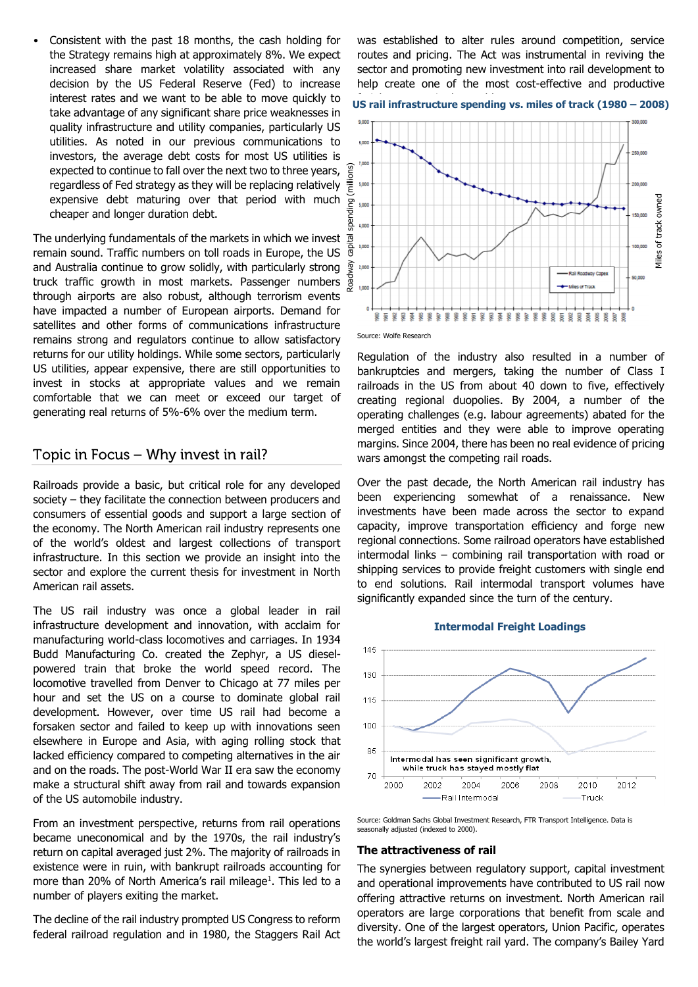• Consistent with the past 18 months, the cash holding for the Strategy remains high at approximately 8%. We expect increased share market volatility associated with any decision by the US Federal Reserve (Fed) to increase interest rates and we want to be able to move quickly to take advantage of any significant share price weaknesses in quality infrastructure and utility companies, particularly US utilities. As noted in our previous communications to investors, the average debt costs for most US utilities is expected to continue to fall over the next two to three years, regardless of Fed strategy as they will be replacing relatively  $\frac{2}{5}$ expensive debt maturing over that period with much cheaper and longer duration debt.

The underlying fundamentals of the markets in which we invest remain sound. Traffic numbers on toll roads in Europe, the US and Australia continue to grow solidly, with particularly strong truck traffic growth in most markets. Passenger numbers  $\frac{5}{8}$ through airports are also robust, although terrorism events have impacted a number of European airports. Demand for satellites and other forms of communications infrastructure remains strong and regulators continue to allow satisfactory returns for our utility holdings. While some sectors, particularly US utilities, appear expensive, there are still opportunities to invest in stocks at appropriate values and we remain comfortable that we can meet or exceed our target of generating real returns of 5%-6% over the medium term.

### Topic in Focus - Why invest in rail?

Railroads provide a basic, but critical role for any developed society – they facilitate the connection between producers and consumers of essential goods and support a large section of the economy. The North American rail industry represents one of the world's oldest and largest collections of transport infrastructure. In this section we provide an insight into the sector and explore the current thesis for investment in North American rail assets.

The US rail industry was once a global leader in rail infrastructure development and innovation, with acclaim for manufacturing world-class locomotives and carriages. In 1934 Budd Manufacturing Co. created the Zephyr, a US dieselpowered train that broke the world speed record. The locomotive travelled from Denver to Chicago at 77 miles per hour and set the US on a course to dominate global rail development. However, over time US rail had become a forsaken sector and failed to keep up with innovations seen elsewhere in Europe and Asia, with aging rolling stock that lacked efficiency compared to competing alternatives in the air and on the roads. The post-World War II era saw the economy make a structural shift away from rail and towards expansion of the US automobile industry.

From an investment perspective, returns from rail operations became uneconomical and by the 1970s, the rail industry's return on capital averaged just 2%. The majority of railroads in existence were in ruin, with bankrupt railroads accounting for more than 20% of North America's rail mileage<sup>1</sup>. This led to a number of players exiting the market.

The decline of the rail industry prompted US Congress to reform federal railroad regulation and in 1980, the Staggers Rail Act

was established to alter rules around competition, service routes and pricing. The Act was instrumental in reviving the sector and promoting new investment into rail development to help create one of the most cost-effective and productive

# US rail infrastructure spending vs. miles of track (1980 - 2008)



Source: Wolfe Research

Regulation of the industry also resulted in a number of bankruptcies and mergers, taking the number of Class I railroads in the US from about 40 down to five, effectively creating regional duopolies. By 2004, a number of the operating challenges (e.g. labour agreements) abated for the merged entities and they were able to improve operating margins. Since 2004, there has been no real evidence of pricing wars amongst the competing rail roads.

Over the past decade, the North American rail industry has been experiencing somewhat of a renaissance. New investments have been made across the sector to expand capacity, improve transportation efficiency and forge new regional connections. Some railroad operators have established intermodal links – combining rail transportation with road or shipping services to provide freight customers with single end to end solutions. Rail intermodal transport volumes have significantly expanded since the turn of the century.





#### **The attractiveness of rail**

The synergies between regulatory support, capital investment and operational improvements have contributed to US rail now offering attractive returns on investment. North American rail operators are large corporations that benefit from scale and diversity. One of the largest operators, Union Pacific, operates the world's largest freight rail yard. The company's Bailey Yard

Source: Goldman Sachs Global Investment Research, FTR Transport Intelligence. Data is seasonally adjusted (indexed to 2000).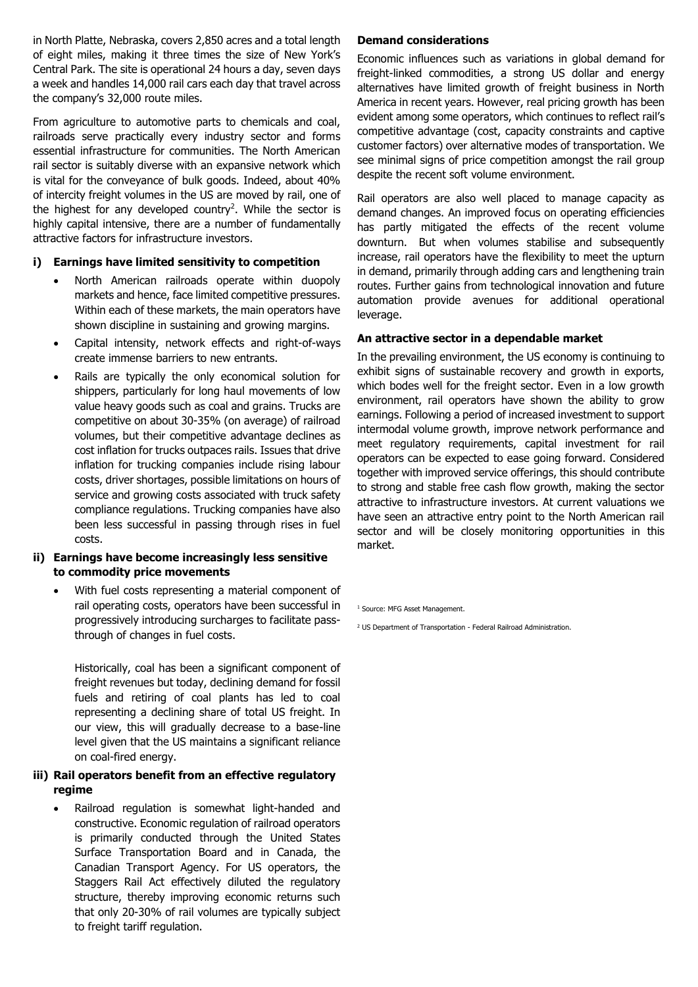in North Platte, Nebraska, covers 2,850 acres and a total length of eight miles, making it three times the size of New York's Central Park. The site is operational 24 hours a day, seven days a week and handles 14,000 rail cars each day that travel across the company's 32,000 route miles.

From agriculture to automotive parts to chemicals and coal, railroads serve practically every industry sector and forms essential infrastructure for communities. The North American rail sector is suitably diverse with an expansive network which is vital for the conveyance of bulk goods. Indeed, about 40% of intercity freight volumes in the US are moved by rail, one of the highest for any developed country<sup>2</sup>. While the sector is highly capital intensive, there are a number of fundamentally attractive factors for infrastructure investors.

### **i) Earnings have limited sensitivity to competition**

- North American railroads operate within duopoly markets and hence, face limited competitive pressures. Within each of these markets, the main operators have shown discipline in sustaining and growing margins.
- Capital intensity, network effects and right-of-ways create immense barriers to new entrants.
- Rails are typically the only economical solution for shippers, particularly for long haul movements of low value heavy goods such as coal and grains. Trucks are competitive on about 30-35% (on average) of railroad volumes, but their competitive advantage declines as cost inflation for trucks outpaces rails. Issues that drive inflation for trucking companies include rising labour costs, driver shortages, possible limitations on hours of service and growing costs associated with truck safety compliance regulations. Trucking companies have also been less successful in passing through rises in fuel costs.

### **ii) Earnings have become increasingly less sensitive to commodity price movements**

 With fuel costs representing a material component of rail operating costs, operators have been successful in progressively introducing surcharges to facilitate passthrough of changes in fuel costs.

Historically, coal has been a significant component of freight revenues but today, declining demand for fossil fuels and retiring of coal plants has led to coal representing a declining share of total US freight. In our view, this will gradually decrease to a base-line level given that the US maintains a significant reliance on coal-fired energy.

### **iii) Rail operators benefit from an effective regulatory regime**

 Railroad regulation is somewhat light-handed and constructive. Economic regulation of railroad operators is primarily conducted through the United States Surface Transportation Board and in Canada, the Canadian Transport Agency. For US operators, the Staggers Rail Act effectively diluted the regulatory structure, thereby improving economic returns such that only 20-30% of rail volumes are typically subject to freight tariff regulation.

### **Demand considerations**

Economic influences such as variations in global demand for freight-linked commodities, a strong US dollar and energy alternatives have limited growth of freight business in North America in recent years. However, real pricing growth has been evident among some operators, which continues to reflect rail's competitive advantage (cost, capacity constraints and captive customer factors) over alternative modes of transportation. We see minimal signs of price competition amongst the rail group despite the recent soft volume environment.

Rail operators are also well placed to manage capacity as demand changes. An improved focus on operating efficiencies has partly mitigated the effects of the recent volume downturn. But when volumes stabilise and subsequently increase, rail operators have the flexibility to meet the upturn in demand, primarily through adding cars and lengthening train routes. Further gains from technological innovation and future automation provide avenues for additional operational leverage.

#### **An attractive sector in a dependable market**

In the prevailing environment, the US economy is continuing to exhibit signs of sustainable recovery and growth in exports, which bodes well for the freight sector. Even in a low growth environment, rail operators have shown the ability to grow earnings. Following a period of increased investment to support intermodal volume growth, improve network performance and meet regulatory requirements, capital investment for rail operators can be expected to ease going forward. Considered together with improved service offerings, this should contribute to strong and stable free cash flow growth, making the sector attractive to infrastructure investors. At current valuations we have seen an attractive entry point to the North American rail sector and will be closely monitoring opportunities in this market.

<sup>1</sup> Source: MFG Asset Management.

<sup>2</sup> US Department of Transportation - Federal Railroad Administration.